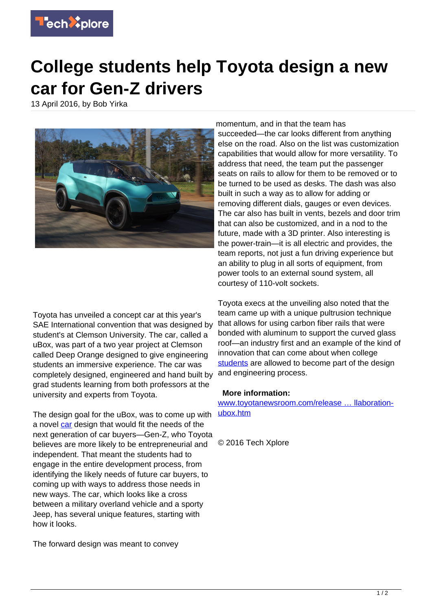

## **College students help Toyota design a new car for Gen-Z drivers**

13 April 2016, by Bob Yirka



Toyota has unveiled a concept car at this year's SAE International convention that was designed by student's at Clemson University. The car, called a uBox, was part of a two year project at Clemson called Deep Orange designed to give engineering students an immersive experience. The car was completely designed, engineered and hand built by grad students learning from both professors at the university and experts from Toyota.

The design goal for the uBox, was to come up with a novel [car](https://techxplore.com/tags/car/) design that would fit the needs of the next generation of car buyers—Gen-Z, who Toyota believes are more likely to be entrepreneurial and independent. That meant the students had to engage in the entire development process, from identifying the likely needs of future car buyers, to coming up with ways to address those needs in new ways. The car, which looks like a cross between a military overland vehicle and a sporty Jeep, has several unique features, starting with how it looks.

The forward design was meant to convey

momentum, and in that the team has succeeded—the car looks different from anything else on the road. Also on the list was customization capabilities that would allow for more versatility. To address that need, the team put the passenger seats on rails to allow for them to be removed or to be turned to be used as desks. The dash was also built in such a way as to allow for adding or removing different dials, gauges or even devices. The car also has built in vents, bezels and door trim that can also be customized, and in a nod to the future, made with a 3D printer. Also interesting is the power-train—it is all electric and provides, the team reports, not just a fun driving experience but an ability to plug in all sorts of equipment, from power tools to an external sound system, all courtesy of 110-volt sockets.

Toyota execs at the unveiling also noted that the team came up with a unique pultrusion technique that allows for using carbon fiber rails that were bonded with aluminum to support the curved glass roof—an industry first and an example of the kind of innovation that can come about when college [students](https://techxplore.com/tags/students/) are allowed to become part of the design and engineering process.

## **More information:**

[www.toyotanewsroom.com/release … llaboration](http://www.toyotanewsroom.com/releases/toyota-clemson-university-collaboration-ubox.htm)[ubox.htm](http://www.toyotanewsroom.com/releases/toyota-clemson-university-collaboration-ubox.htm)

© 2016 Tech Xplore